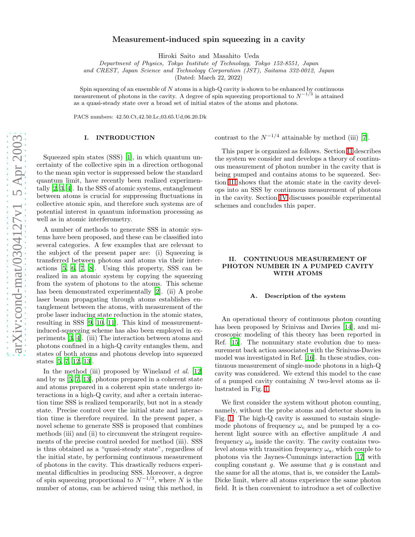# Measurement-induced spin squeezing in a cavity

Hiroki Saito and Masahito Ueda

Department of Physics, Tokyo Institute of Technology, Tokyo 152-8551, Japan

and CREST, Japan Science and Technology Corporation (JST), Saitama 332-0012, Japan

(Dated: March 22, 2022)

Spin squeezing of an ensemble of  $N$  atoms in a high-Q cavity is shown to be enhanced by continuous measurement of photons in the cavity. A degree of spin squeezing proportional to  $N^{-1/3}$  is attained as a quasi-steady state over a broad set of initial states of the atoms and photons.

PACS numbers: 42.50.Ct,42.50.Lc,03.65.Ud,06.20.Dk

### I. INTRODUCTION

Squeezed spin states (SSS) [\[1\]](#page-8-0), in which quantum uncertainty of the collective spin in a direction orthogonal to the mean spin vector is suppressed below the standard quantum limit, have recently been realized experimentally [\[2,](#page-8-1) [3,](#page-8-2) [4](#page-8-3)]. In the SSS of atomic systems, entanglement between atoms is crucial for suppressing fluctuations in collective atomic spin, and therefore such systems are of potential interest in quantum information processing as well as in atomic interferometry.

A number of methods to generate SSS in atomic systems have been proposed, and these can be classified into several categories. A few examples that are relevant to the subject of the present paper are: (i) Squeezing is transferred between photons and atoms via their interactions [\[5](#page-8-4), [6,](#page-8-5) [7,](#page-8-6) [8\]](#page-8-7). Using this property, SSS can be realized in an atomic system by copying the squeezing from the system of photons to the atoms. This scheme has been demonstrated experimentally [\[2\]](#page-8-1). (ii) A probe laser beam propagating through atoms establishes entanglement between the atoms, with measurement of the probe laser inducing state reduction in the atomic states, resulting in SSS [\[9,](#page-8-8) [10,](#page-8-9) [11](#page-8-10)]. This kind of measurementinduced-squeezing scheme has also been employed in experiments [\[3](#page-8-2), [4\]](#page-8-3). (iii) The interaction between atoms and photons confined in a high-Q cavity entangles them, and states of both atoms and photons develop into squeezed states [\[5](#page-8-4), [7](#page-8-6), [12](#page-8-11), [13](#page-8-12)].

In the method (iii) proposed by Wineland *et al.* [\[12](#page-8-11)] and by us [\[5](#page-8-4), [7,](#page-8-6) [13\]](#page-8-12), photons prepared in a coherent state and atoms prepared in a coherent spin state undergo interactions in a high-Q cavity, and after a certain interaction time SSS is realized temporarily, but not in a steady state. Precise control over the initial state and interaction time is therefore required. In the present paper, a novel scheme to generate SSS is proposed that combines methods (iii) and (ii) to circumvent the stringent requirements of the precise control needed for method (iii). SSS is thus obtained as a "quasi-steady state", regardless of the initial state, by performing continuous measurement of photons in the cavity. This drastically reduces experimental difficulties in producing SSS. Moreover, a degree of spin squeezing proportional to  $N^{-1/3}$ , where N is the number of atoms, can be achieved using this method, in

contrast to the  $N^{-1/4}$  attainable by method (iii) [\[7](#page-8-6)].

This paper is organized as follows. Section [II](#page-0-0) describes the system we consider and develops a theory of continuous measurement of photon number in the cavity that is being pumped and contains atoms to be squeezed. Section [III](#page-3-0) shows that the atomic state in the cavity develops into an SSS by continuous measurement of photons in the cavity. Section [IV](#page-5-0) discusses possible experimental schemes and concludes this paper.

# <span id="page-0-0"></span>II. CONTINUOUS MEASUREMENT OF PHOTON NUMBER IN A PUMPED CAVITY WITH ATOMS

### A. Description of the system

An operational theory of continuous photon counting has been proposed by Srinivas and Davies [\[14\]](#page-8-13), and microscopic modeling of this theory has been reported in Ref. [\[15\]](#page-8-14). The nonunitary state evolution due to measurement back action associated with the Srinivas-Davies model was investigated in Ref. [\[16](#page-8-15)]. In these studies, continuous measurement of single-mode photons in a high-Q cavity was considered. We extend this model to the case of a pumped cavity containing N two-level atoms as illustrated in Fig. [1.](#page-1-0)

We first consider the system without photon counting, namely, without the probe atoms and detector shown in Fig. [1.](#page-1-0) The high-Q cavity is assumed to sustain singlemode photons of frequency  $\omega_c$  and be pumped by a coherent light source with an effective amplitude A and frequency  $\omega_{\rm p}$  inside the cavity. The cavity contains twolevel atoms with transition frequency  $\omega_a$ , which couple to photons via the Jaynes-Cummings interaction [\[17](#page-8-16)] with coupling constant  $g$ . We assume that  $g$  is constant and the same for all the atoms, that is, we consider the Lamb-Dicke limit, where all atoms experience the same photon field. It is then convenient to introduce a set of collective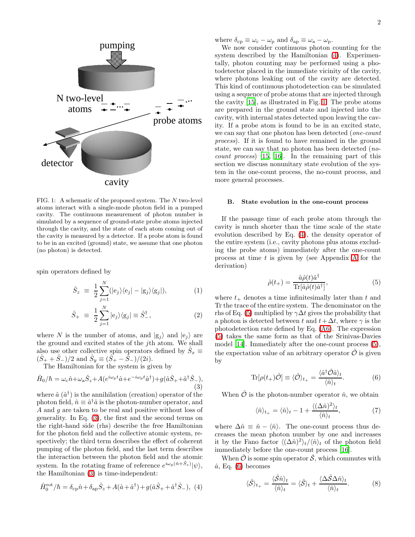

<span id="page-1-0"></span>FIG. 1: A schematic of the proposed system. The N two-level atoms interact with a single-mode photon field in a pumped cavity. The continuous measurement of photon number is simulated by a sequence of ground-state probe atoms injected through the cavity, and the state of each atom coming out of the cavity is measured by a detector. If a probe atom is found to be in an excited (ground) state, we assume that one photon (no photon) is detected.

spin operators defined by

$$
\hat{S}_z \equiv \frac{1}{2} \sum_{j=1}^N (|e_j\rangle\langle e_j| - |g_j\rangle\langle g_j|), \qquad (1)
$$

<span id="page-1-1"></span>
$$
\hat{S}_{+} \equiv \frac{1}{2} \sum_{j=1}^{N} |e_j\rangle\langle g_j| \equiv \hat{S}_{-}^{\dagger}, \qquad (2)
$$

where N is the number of atoms, and  $|g_i\rangle$  and  $|e_j\rangle$  are the ground and excited states of the jth atom. We shall also use other collective spin operators defined by  $\hat{S}_x \equiv \hat{S}_y$  $(\hat{S}_+ + \hat{S}_-) / 2$  and  $\hat{S}_y \equiv (\hat{S}_+ - \hat{S}_-) / (2i)$ .

The Hamiltonian for the system is given by

$$
\hat{H}_0/\hbar = \omega_c \hat{n} + \omega_a \hat{S}_z + A(e^{i\omega_p t}\hat{a} + e^{-i\omega_p t}\hat{a}^\dagger) + g(\hat{a}\hat{S}_+ + \hat{a}^\dagger \hat{S}_-),
$$
\n(3)

where  $\hat{a}$   $(\hat{a}^{\dagger})$  is the annihilation (creation) operator of the photon field,  $\hat{n} \equiv \hat{a}^\dagger \hat{a}$  is the photon-number operator, and A and g are taken to be real and positive without loss of generality. In Eq. [\(3\)](#page-1-1), the first and the second terms on the right-hand side (rhs) describe the free Hamiltonian for the photon field and the collective atomic system, respectively; the third term describes the effect of coherent pumping of the photon field, and the last term describes the interaction between the photon field and the atomic system. In the rotating frame of reference  $e^{i\omega_p(\hat{n}+\hat{S}_z)}|\psi\rangle$ , the Hamiltonian [\(3\)](#page-1-1) is time-independent:

<span id="page-1-2"></span>
$$
\hat{H}_0^{\text{rot}}/\hbar = \delta_{\text{cp}}\hat{n} + \delta_{\text{ap}}\hat{S}_z + A(\hat{a} + \hat{a}^\dagger) + g(\hat{a}\hat{S}_+ + \hat{a}^\dagger\hat{S}_-), \tag{4}
$$

where  $\delta_{\rm cp} \equiv \omega_{\rm c} - \omega_{\rm p}$  and  $\delta_{\rm ap} \equiv \omega_{\rm a} - \omega_{\rm p}$ .

We now consider continuous photon counting for the system described by the Hamiltonian [\(4\)](#page-1-2). Experimentally, photon counting may be performed using a photodetector placed in the immediate vicinity of the cavity, where photons leaking out of the cavity are detected. This kind of continuous photodetection can be simulated using a sequence of probe atoms that are injected through the cavity [\[15\]](#page-8-14), as illustrated in Fig. [1.](#page-1-0) The probe atoms are prepared in the ground state and injected into the cavity, with internal states detected upon leaving the cavity. If a probe atom is found to be in an excited state, we can say that one photon has been detected (one-count process). If it is found to have remained in the ground state, we can say that no photon has been detected (nocount process) [\[15,](#page-8-14) [16\]](#page-8-15). In the remaining part of this section we discuss nonunitary state evolution of the system in the one-count process, the no-count process, and more general processes.

### B. State evolution in the one-count process

<span id="page-1-3"></span>If the passage time of each probe atom through the cavity is much shorter than the time scale of the state evolution described by Eq. [\(4\)](#page-1-2), the density operator of the entire system (i.e., cavity photons plus atoms excluding the probe atoms) immediately after the one-count process at time  $t$  is given by (see [A](#page-6-0)ppendix A for the derivation)

$$
\hat{\rho}(t_{+}) = \frac{\hat{a}\hat{\rho}(t)\hat{a}^{\dagger}}{\text{Tr}[\hat{a}\hat{\rho}(t)\hat{a}^{\dagger}]},\tag{5}
$$

where  $t_{+}$  denotes a time infinitesimally later than t and Tr the trace of the entire system. The denominator on the rhs of Eq. [\(5\)](#page-1-3) multiplied by  $\gamma \Delta t$  gives the probability that a photon is detected between t and  $t + \Delta t$ , where  $\gamma$  is the photodetection rate defined by Eq. [\(A6\)](#page-7-0). The expression [\(5\)](#page-1-3) takes the same form as that of the Srinivas-Davies model [\[14](#page-8-13)]. Immediately after the one-count process [\(5\)](#page-1-3), the expectation value of an arbitrary operator  $\hat{\mathcal{O}}$  is given by

$$
\text{Tr}[\rho(t_+)\hat{\mathcal{O}}] \equiv \langle \hat{\mathcal{O}} \rangle_{t_+} = \frac{\langle \hat{a}^\dagger \hat{\mathcal{O}} \hat{a} \rangle_t}{\langle \hat{n} \rangle_t}.
$$
 (6)

<span id="page-1-4"></span>When  $\hat{\mathcal{O}}$  is the photon-number operator  $\hat{n}$ , we obtain

$$
\langle \hat{n} \rangle_{t_{+}} = \langle \hat{n} \rangle_{t} - 1 + \frac{\langle (\Delta \hat{n})^2 \rangle_{t}}{\langle \hat{n} \rangle_{t}},\tag{7}
$$

where  $\Delta \hat{n} \equiv \hat{n} - \langle \hat{n} \rangle$ . The one-count process thus decreases the mean photon number by one and increases it by the Fano factor  $\langle (\Delta \hat{n})^2 \rangle_t / \langle \hat{n} \rangle_t$  of the photon field immediately before the one-count process [\[16\]](#page-8-15).

When  $\hat{\mathcal{O}}$  is some spin operator  $\hat{\mathcal{S}}$ , which commutes with  $\hat{a}$ , Eq. [\(6\)](#page-1-4) becomes

$$
\langle \hat{S} \rangle_{t_{+}} = \frac{\langle \hat{S} \hat{n} \rangle_{t}}{\langle \hat{n} \rangle_{t}} = \langle \hat{S} \rangle_{t} + \frac{\langle \Delta \hat{S} \Delta \hat{n} \rangle_{t}}{\langle \hat{n} \rangle_{t}}.
$$
 (8)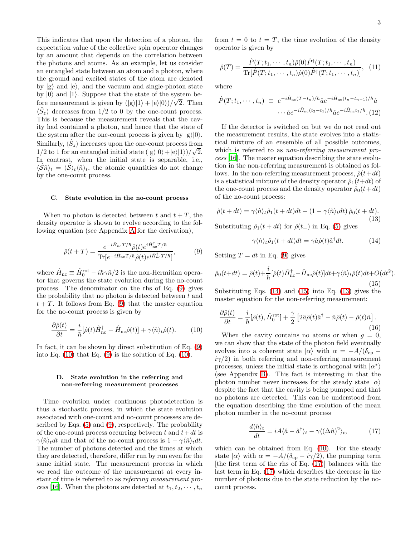This indicates that upon the detection of a photon, the expectation value of the collective spin operator changes by an amount that depends on the correlation between the photons and atoms. As an example, let us consider an entangled state between an atom and a photon, where the ground and excited states of the atom are denoted by  $|g\rangle$  and  $|e\rangle$ , and the vacuum and single-photon state by  $|0\rangle$  and  $|1\rangle$ . Suppose that the state of the system before measurement is given by  $(|g\rangle|1\rangle + |e\rangle|0\rangle)/\sqrt{2}$ . Then  $\langle \hat{S}_z \rangle$  decreases from 1/2 to 0 by the one-count process. This is because the measurement reveals that the cavity had contained a photon, and hence that the state of the system after the one-count process is given by  $|g\rangle|0\rangle$ . Similarly,  $\langle \hat{S}_z \rangle$  increases upon the one-count process from 1/2 to 1 for an entangled initial state  $(|g\rangle|0\rangle+|e\rangle|1\rangle)/\sqrt{2}$ . In contrast, when the initial state is separable, i.e.,  $\langle \hat{S} \hat{n} \rangle_t = \langle \hat{S} \rangle_t \langle \hat{n} \rangle_t$ , the atomic quantities do not change by the one-count process.

### C. State evolution in the no-count process

When no photon is detected between t and  $t + T$ , the density operator is shown to evolve according to the following equation (see Appendix [A](#page-6-0) for the derivation),

$$
\hat{\rho}(t+T) = \frac{e^{-i\hat{H}_{\text{nc}}T/\hbar} \hat{\rho}(t)e^{i\hat{H}_{\text{nc}}^{\dagger}T/\hbar}}{\text{Tr}[e^{-i\hat{H}_{\text{nc}}T/\hbar} \hat{\rho}(t)e^{i\hat{H}_{\text{nc}}^{\dagger}T/\hbar}]},\tag{9}
$$

where  $\hat{H}_{\text{nc}} \equiv \hat{H}_0^{\text{rot}} - i\hbar \gamma \hat{n}/2$  is the non-Hermitian operator that governs the state evolution during the no-count process. The denominator on the rhs of Eq. [\(9\)](#page-2-0) gives the probability that no photon is detected between  $t$  and  $t + T$ . It follows from Eq. [\(9\)](#page-2-0) that the master equation for the no-count process is given by

<span id="page-2-1"></span>
$$
\frac{\partial \hat{\rho}(t)}{\partial t} = \frac{i}{\hbar} [\hat{\rho}(t)\hat{H}_{\text{nc}}^{\dagger} - \hat{H}_{\text{nc}}\hat{\rho}(t)] + \gamma \langle \hat{n} \rangle_t \hat{\rho}(t). \tag{10}
$$

In fact, it can be shown by direct substitution of Eq. [\(9\)](#page-2-0) into Eq.  $(10)$  that Eq.  $(9)$  is the solution of Eq.  $(10)$ .

# D. State evolution in the referring and non-referring measurement processes

Time evolution under continuous photodetection is thus a stochastic process, in which the state evolution associated with one-count and no-count processes are described by Eqs. [\(5\)](#page-1-3) and [\(9\)](#page-2-0), respectively. The probability of the one-count process occurring between t and  $t+dt$  is  $\gamma \langle \hat{n} \rangle_t dt$  and that of the no-count process is  $1 - \gamma \langle \hat{n} \rangle_t dt$ . The number of photons detected and the times at which they are detected, therefore, differ run by run even for the same initial state. The measurement process in which we read the outcome of the measurement at every instant of time is referred to as referring measurement pro-cess [\[16\]](#page-8-15). When the photons are detected at  $t_1, t_2, \cdots, t_n$ 

from  $t = 0$  to  $t = T$ , the time evolution of the density operator is given by

$$
\hat{\rho}(T) = \frac{\hat{P}(T; t_1, \cdots, t_n)\hat{\rho}(0)\hat{P}^\dagger(T; t_1, \cdots, t_n)}{\text{Tr}[\hat{P}(T; t_1, \cdots, t_n)\hat{\rho}(0)\hat{P}^\dagger(T; t_1, \cdots, t_n)]}, \tag{11}
$$

<span id="page-2-7"></span>where

$$
\hat{P}(T;t_1,\dots,t_n) \equiv e^{-i\hat{H}_{\text{nc}}(T-t_n)/\hbar} \hat{a} e^{-i\hat{H}_{\text{nc}}(t_n-t_{n-1})/\hbar} \hat{a} \dots \hat{a} e^{-i\hat{H}_{\text{nc}}(t_2-t_1)/\hbar} \hat{a} e^{-i\hat{H}_{\text{nc}}t_1/\hbar}.\text{(12)}
$$

If the detector is switched on but we do not read out the measurement results, the state evolves into a statistical mixture of an ensemble of all possible outcomes, which is referred to as *non-referring measurement pro*cess [\[16\]](#page-8-15). The master equation describing the state evolution in the non-referring measurement is obtained as follows. In the non-referring measurement process,  $\hat{\rho}(t+dt)$ is a statistical mixture of the density operator  $\hat{\rho}_1(t+dt)$  of the one-count process and the density operator  $\hat{\rho}_0(t+dt)$ of the no-count process:

<span id="page-2-4"></span>
$$
\hat{\rho}(t+dt) = \gamma \langle \hat{n} \rangle_t \hat{\rho}_1(t+dt)dt + (1 - \gamma \langle \hat{n} \rangle_t dt) \hat{\rho}_0(t+dt). \tag{13}
$$

<span id="page-2-0"></span>Substituting  $\hat{\rho}_1(t+dt)$  for  $\hat{\rho}(t_+)$  in Eq. [\(5\)](#page-1-3) gives

<span id="page-2-6"></span><span id="page-2-3"></span><span id="page-2-2"></span>
$$
\gamma \langle \hat{n} \rangle_t \hat{\rho}_1(t+dt)dt = \gamma \hat{a}\hat{\rho}(t)\hat{a}^\dagger dt. \tag{14}
$$

Setting  $T = dt$  in Eq. [\(9\)](#page-2-0) gives

$$
\hat{\rho}_0(t+dt) = \hat{\rho}(t) + \frac{i}{\hbar} [\hat{\rho}(t)\hat{H}_{\text{nc}}^{\dagger} - \hat{H}_{\text{nc}}\hat{\rho}(t)]dt + \gamma \langle \hat{n} \rangle_t \hat{\rho}(t)dt + O(dt^2).
$$
\n(15)

Substituting Eqs. [\(14\)](#page-2-2) and [\(15\)](#page-2-3) into Eq. [\(13\)](#page-2-4) gives the master equation for the non-referring measurement:

$$
\frac{\partial \hat{\rho}(t)}{\partial t} = \frac{i}{\hbar} [\hat{\rho}(t), \hat{H}_0^{\text{rot}}] + \frac{\gamma}{2} \left[ 2\hat{a}\hat{\rho}(t)\hat{a}^\dagger - \hat{n}\hat{\rho}(t) - \hat{\rho}(t)\hat{n} \right]. \tag{16}
$$

When the cavity contains no atoms or when  $g = 0$ , we can show that the state of the photon field eventually evolves into a coherent state  $|\alpha\rangle$  with  $\alpha = -A/(\delta_{\rm cp}$  $i\gamma/2$ ) in both referring and non-referring measurement processes, unless the initial state is orthogonal with  $|\alpha^* \rangle$ (see Appendix [B\)](#page-7-1). This fact is interesting in that the photon number never increases for the steady state  $|\alpha\rangle$ despite the fact that the cavity is being pumped and that no photons are detected. This can be understood from the equation describing the time evolution of the mean photon number in the no-count process

<span id="page-2-5"></span>
$$
\frac{d\langle \hat{n}\rangle_t}{dt} = iA\langle \hat{a} - \hat{a}^\dagger \rangle_t - \gamma \langle (\Delta \hat{n})^2 \rangle_t, \tag{17}
$$

which can be obtained from Eq. [\(10\)](#page-2-1). For the steady state  $|\alpha\rangle$  with  $\alpha = -A/(\delta_{cp} - i\gamma/2)$ , the pumping term [the first term of the rhs of Eq. [\(17\)](#page-2-5)] balances with the last term in Eq. [\(17\)](#page-2-5) which describes the decrease in the number of photons due to the state reduction by the nocount process.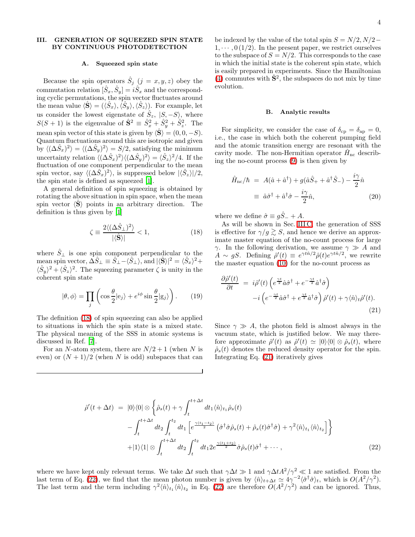### A. Squeezed spin state

<span id="page-3-0"></span>Because the spin operators  $\hat{S}_j$   $(j = x, y, z)$  obey the commutation relation  $[\hat{S}_x, \hat{S}_y] = i\hat{S}_x$  and the corresponding cyclic permutations, the spin vector fluctuates around the mean value  $\langle \hat{S} \rangle = (\langle \hat{S}_x \rangle, \langle \hat{S}_y \rangle, \langle \hat{S}_z \rangle)$ . For example, let us consider the lowest eigenstate of  $\hat{S}_z$ ,  $|S, -S\rangle$ , where  $S(S + 1)$  is the eigenvalue of  $\hat{S}^2 \equiv \hat{S}_x^2 + \hat{S}_y^2 + \hat{S}_z^2$ . The mean spin vector of this state is given by  $\langle \mathbf{S} \rangle = (0, 0, -S)$ . Quantum fluctuations around this are isotropic and given by  $\langle (\Delta \hat{S}_x)^2 \rangle = \langle (\Delta \hat{S}_y)^2 \rangle = S/2$ , satisfying the minimum uncertainty relation  $\langle (\Delta \hat{S}_x)^2 \rangle \langle (\Delta \hat{S}_y)^2 \rangle = \langle \hat{S}_z \rangle^2 / 4$ . If the fluctuation of one component perpendicular to the mean spin vector, say  $\langle (\Delta \hat{S}_x)^2 \rangle$ , is suppressed below  $|\langle \hat{S}_z \rangle|/2$ , the spin state is defined as squeezed [\[1](#page-8-0)].

A general definition of spin squeezing is obtained by rotating the above situation in spin space, when the mean spin vector  $\langle \mathbf{S} \rangle$  points in an arbitrary direction. The definition is thus given by [\[1\]](#page-8-0)

<span id="page-3-1"></span>
$$
\zeta \equiv \frac{2\langle (\Delta \hat{S}_{\perp})^2 \rangle}{|\langle \hat{\mathbf{S}} \rangle|} < 1,\tag{18}
$$

<span id="page-3-6"></span>where  $\hat{S}_\perp$  is one spin component perpendicular to the mean spin vector,  $\hat{\Delta S}_{\perp} \equiv \hat{S}_{\perp} - \langle \hat{S}_{\perp} \rangle$ , and  $|\langle \hat{\mathbf{S}} \rangle|^2 = \langle \hat{S}_x \rangle^2 +$  $\langle \hat{S}_y \rangle^2 + \langle \hat{S}_z \rangle^2$ . The squeezing parameter  $\zeta$  is unity in the coherent spin state

$$
|\theta,\phi\rangle = \prod_{j} \left( \cos \frac{\theta}{2} |e_j\rangle + e^{i\phi} \sin \frac{\theta}{2} |g_j\rangle \right). \tag{19}
$$

The definition [\(18\)](#page-3-1) of spin squeezing can also be applied to situations in which the spin state is a mixed state. The physical meaning of the SSS in atomic systems is discussed in Ref. [\[7\]](#page-8-6).

For an N-atom system, there are  $N/2+1$  (when N is even) or  $(N + 1)/2$  (when N is odd) subspaces that can

be indexed by the value of the total spin  $S = N/2, N/2 1, \dots, 0$  (1/2). In the present paper, we restrict ourselves to the subspace of  $S = N/2$ . This corresponds to the case in which the initial state is the coherent spin state, which is easily prepared in experiments. Since the Hamiltonian [\(4\)](#page-1-2) commutes with  $\hat{S}^2$ , the subspaces do not mix by time evolution.

#### B. Analytic results

<span id="page-3-5"></span>For simplicity, we consider the case of  $\delta_{\rm cp} = \delta_{\rm ap} = 0$ , i.e., the case in which both the coherent pumping field and the atomic transition energy are resonant with the cavity mode. The non-Hermitian operator  $\hat{H}_{\text{nc}}$  describing the no-count process [\(9\)](#page-2-0) is then given by

$$
\hat{H}_{\text{nc}}/\hbar = A(\hat{a} + \hat{a}^{\dagger}) + g(\hat{a}\hat{S}_{+} + \hat{a}^{\dagger}\hat{S}_{-}) - \frac{i\gamma}{2}\hat{n}
$$

$$
\equiv \hat{a}\hat{\sigma}^{\dagger} + \hat{a}^{\dagger}\hat{\sigma} - \frac{i\gamma}{2}\hat{n}, \tag{20}
$$

<span id="page-3-4"></span>where we define  $\hat{\sigma} \equiv g\hat{S}^- + A$ .

As will be shown in Sec. [III C,](#page-4-0) the generation of SSS is effective for  $\gamma/g \gtrsim S$ , and hence we derive an approximate master equation of the no-count process for large γ. In the following derivation, we assume γ ≫ A and  $A \sim gS$ . Defining  $\hat{\rho}'(t) \equiv e^{\gamma t \hat{n}/2} \hat{\rho}(t) e^{\gamma t \hat{n}/2}$ , we rewrite the master equation [\(10\)](#page-2-1) for the no-count process as

<span id="page-3-2"></span>
$$
\frac{\partial \hat{\rho}'(t)}{\partial t} = i\hat{\rho}'(t) \left( e^{\frac{\gamma t}{2}} \hat{a} \hat{\sigma}^{\dagger} + e^{-\frac{\gamma t}{2}} \hat{a}^{\dagger} \hat{\sigma} \right) \n- i \left( e^{-\frac{\gamma t}{2}} \hat{a} \hat{\sigma}^{\dagger} + e^{\frac{\gamma t}{2}} \hat{a}^{\dagger} \hat{\sigma} \right) \hat{\rho}'(t) + \gamma \langle \hat{n} \rangle_t \hat{\rho}'(t).
$$
\n(21)

Since  $\gamma \gg A$ , the photon field is almost always in the vacuum state, which is justified below. We may therefore approximate  $\hat{\rho}'(t)$  as  $\hat{\rho}'(t) \simeq |0\rangle\langle 0| \otimes \hat{\rho}_s(t)$ , where  $\hat{\rho}_s(t)$  denotes the reduced density operator for the spin. Integrating Eq. [\(21\)](#page-3-2) iteratively gives

<span id="page-3-3"></span>
$$
\hat{\rho}'(t + \Delta t) = |0\rangle\langle 0| \otimes \left\{ \hat{\rho}_s(t) + \gamma \int_t^{t + \Delta t} dt_1 \langle \hat{n} \rangle_{t_1} \hat{\rho}_s(t) - \int_t^{t + \Delta t} dt_2 \int_t^{t_2} dt_1 \left[ e^{\frac{\gamma(t_1 - t_2)}{2}} \left( \hat{\sigma}^\dagger \hat{\sigma} \hat{\rho}_s(t) + \hat{\rho}_s(t) \hat{\sigma}^\dagger \hat{\sigma} \right) + \gamma^2 \langle \hat{n} \rangle_{t_1} \langle \hat{n} \rangle_{t_2} \right] \right\}
$$
  
+ |1\rangle\langle 1| \otimes \int\_t^{t + \Delta t} dt\_2 \int\_t^{t\_2} dt\_1 2e^{\frac{\gamma(t\_1 + t\_2)}{2}} \hat{\sigma} \hat{\rho}\_s(t) \hat{\sigma}^\dagger + \cdots, \tag{22}

where we have kept only relevant terms. We take  $\Delta t$  such that  $\gamma \Delta t \gg 1$  and  $\gamma \Delta t A^2/\gamma^2 \ll 1$  are satisfied. From the last term of Eq. [\(22\)](#page-3-3), we find that the mean photon number is given by  $\langle \hat{n} \rangle_{t+\Delta t} \simeq 4\gamma^{-2} \langle \hat{\sigma}^{\dagger} \hat{\sigma} \rangle_t$ , which is  $O(A^2/\gamma^2)$ . The last term and the term including  $\gamma^2 \langle \hat{n} \rangle_{t_1} \langle \hat{n} \rangle_{t_2}$  in Eq. [\(22\)](#page-3-3) are therefore  $O(A^2/\gamma^2)$  and can be ignored. Thus,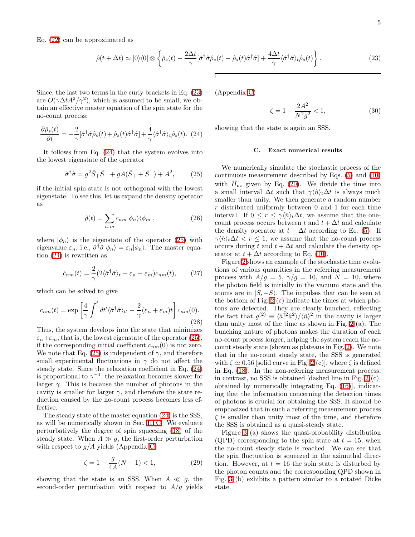Eq. [\(22\)](#page-3-3) can be approximated as

<span id="page-4-1"></span>
$$
\hat{\rho}(t + \Delta t) \simeq |0\rangle\langle 0| \otimes \left\{ \hat{\rho}_s(t) - \frac{2\Delta t}{\gamma} [\hat{\sigma}^\dagger \hat{\sigma} \hat{\rho}_s(t) + \hat{\rho}_s(t) \hat{\sigma}^\dagger \hat{\sigma}] + \frac{4\Delta t}{\gamma} \langle \hat{\sigma}^\dagger \hat{\sigma} \rangle_t \hat{\rho}_s(t) \right\}.
$$
\n(23)

<span id="page-4-2"></span>Since, the last two terms in the curly brackets in Eq. [\(23\)](#page-4-1) are  $O(\gamma \Delta t A^2/\gamma^2)$ , which is assumed to be small, we obtain an effective master equation of the spin state for the no-count process:

$$
\frac{\partial \hat{\rho}_s(t)}{\partial t} = -\frac{2}{\gamma} [\hat{\sigma}^\dagger \hat{\sigma} \hat{\rho}_s(t) + \hat{\rho}_s(t) \hat{\sigma}^\dagger \hat{\sigma}] + \frac{4}{\gamma} \langle \hat{\sigma}^\dagger \hat{\sigma} \rangle_t \hat{\rho}_s(t). (24)
$$

It follows from Eq. [\(24\)](#page-4-2) that the system evolves into the lowest eigenstate of the operator

<span id="page-4-3"></span>
$$
\hat{\sigma}^{\dagger}\hat{\sigma} = g^2 \hat{S}_+ \hat{S}_- + gA(\hat{S}_+ + \hat{S}_-) + A^2, \qquad (25)
$$

if the initial spin state is not orthogonal with the lowest eigenstate. To see this, let us expand the density operator as

$$
\hat{\rho}(t) = \sum_{n,m} c_{nm} |\phi_n\rangle\langle\phi_m|,\tag{26}
$$

where  $|\phi_n\rangle$  is the eigenstate of the operator [\(25\)](#page-4-3) with eigenvalue  $\varepsilon_n$ , i.e.,  $\hat{\sigma}^\dagger \hat{\sigma} |\phi_n\rangle = \varepsilon_n |\phi_n\rangle$ . The master equation [\(24\)](#page-4-2) is rewritten as

$$
\dot{c}_{nm}(t) = \frac{2}{\gamma} (2\langle \hat{\sigma}^{\dagger} \hat{\sigma} \rangle_t - \varepsilon_n - \varepsilon_m) c_{nm}(t), \qquad (27)
$$

which can be solved to give

$$
c_{nm}(t) = \exp\left[\frac{4}{\gamma} \int^t dt' \langle \hat{\sigma}^\dagger \hat{\sigma} \rangle_{t'} - \frac{2}{\gamma} (\varepsilon_n + \varepsilon_m) t \right] c_{nm}(0).
$$
\n(28)

Thus, the system develops into the state that minimizes  $\varepsilon_n+\varepsilon_m$ , that is, the lowest eigenstate of the operator [\(25\)](#page-4-3), if the corresponding initial coefficient  $c_{nm}(0)$  is not zero. We note that Eq. [\(25\)](#page-4-3) is independent of  $\gamma$ , and therefore small experimental fluctuations in  $\gamma$  do not affect the steady state. Since the relaxation coefficient in Eq. [\(24\)](#page-4-2) is proportional to  $\gamma^{-1}$ , the relaxation becomes slower for larger  $\gamma$ . This is because the number of photons in the cavity is smaller for larger  $\gamma$ , and therefore the state reduction caused by the no-count process becomes less effective.

The steady state of the master equation [\(24\)](#page-4-2) is the SSS, as will be numerically shown in Sec. [III C.](#page-4-0) We evaluate perturbatively the degree of spin squeezing [\(18\)](#page-3-1) of the steady state. When  $A \gg g$ , the first-order perturbation with respect to  $g/A$  yields (Appendix [C\)](#page-8-17)

<span id="page-4-4"></span>
$$
\zeta = 1 - \frac{g}{4A}(N - 1) < 1,\tag{29}
$$

showing that the state is an SSS. When  $A \ll g$ , the second-order perturbation with respect to  $A/g$  yields <span id="page-4-5"></span>(Appendix [C\)](#page-8-17)

$$
\zeta = 1 - \frac{2A^2}{N^2 g^2} < 1,\tag{30}
$$

<span id="page-4-0"></span>showing that the state is again an SSS.

#### C. Exact numerical results

We numerically simulate the stochastic process of the continuous measurement described by Eqs. [\(5\)](#page-1-3) and [\(10\)](#page-2-1) with  $\hat{H}_{\text{nc}}$  given by Eq. [\(20\)](#page-3-4). We divide the time into a small interval  $\Delta t$  such that  $\gamma \langle \hat{n} \rangle_t \Delta t$  is always much smaller than unity. We then generate a random number r distributed uniformly between 0 and 1 for each time interval. If  $0 \leq r \leq \gamma \langle \hat{n} \rangle_t \Delta t$ , we assume that the onecount process occurs between t and  $t + \Delta t$  and calculate the density operator at  $t + \Delta t$  according to Eq. [\(5\)](#page-1-3). If  $\gamma\langle\hat{n}\rangle_t\Delta t < r \leq 1$ , we assume that the no-count process occurs during t and  $t + \Delta t$  and calculate the density operator at  $t + \Delta t$  according to Eq. [\(10\)](#page-2-1).

Figure [2](#page-5-1) shows an example of the stochastic time evolutions of various quantities in the referring measurement process with  $A/g = 5$ ,  $\gamma/g = 10$ , and  $N = 10$ , where the photon field is initially in the vacuum state and the atoms are in  $|S, -S\rangle$ . The impulses that can be seen at the bottom of Fig. [2](#page-5-1) (c) indicate the times at which photons are detected. They are clearly bunched, reflecting the fact that  $g^{(2)} \equiv \langle \hat{a}^{\dagger 2} \hat{a}^2 \rangle / \langle \hat{n} \rangle^2$  in the cavity is larger than unity most of the time as shown in Fig. [2](#page-5-1) (a). The bunching nature of photons makes the duration of each no-count process longer, helping the system reach the nocount steady state (shown as plateaus in Fig. [2\)](#page-5-1). We note that in the no-count steady state, the SSS is generated with  $\zeta \simeq 0.56$  [solid curve in Fig. [2](#page-5-1) (c)], where  $\zeta$  is defined in Eq. [\(18\)](#page-3-1). In the non-referring measurement process, in contrast, no SSS is obtained [dashed line in Fig. [2](#page-5-1) (c), obtained by numerically integrating Eq. [\(16\)](#page-2-6)], indicating that the information concerning the detection times of photons is crucial for obtaining the SSS. It should be emphasized that in such a referring measurement process  $\zeta$  is smaller than unity most of the time, and therefore the SSS is obtained as a quasi-steady state.

Figure [3](#page-5-2) (a) shows the quasi-probability distribution (QPD) corresponding to the spin state at  $t = 15$ , when the no-count steady state is reached. We can see that the spin fluctuation is squeezed in the azimuthal direction. However, at  $t = 16$  the spin state is disturbed by the photon counts and the corresponding QPD shown in Fig. [3](#page-5-2) (b) exhibits a pattern similar to a rotated Dicke state.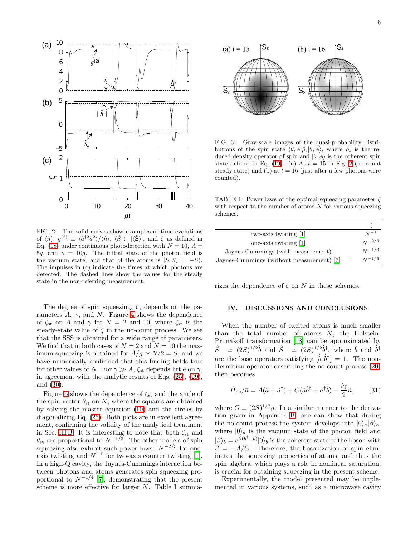

<span id="page-5-1"></span>FIG. 2: The solid curves show examples of time evolutions of  $\langle \hat{n} \rangle$ ,  $g^{(2)} \equiv \langle \hat{a}^{\dagger 2} \hat{a}^2 \rangle / \langle \hat{n} \rangle$ ,  $\langle \hat{S}_z \rangle$ ,  $|\langle \hat{S} \rangle|$ , and  $\zeta$  as defined in Eq. [\(18\)](#page-3-1) under continuous photodetection with  $N = 10$ ,  $A =$ 5g, and  $\gamma = 10g$ . The initial state of the photon field is the vacuum state, and that of the atoms is  $|S, S_z = -S\rangle$ . The impulses in (c) indicate the times at which photons are detected. The dashed lines show the values for the steady state in the non-referring measurement.

The degree of spin squeezing,  $\zeta$ , depends on the parameters  $A$ ,  $\gamma$ , and  $N$ . Figure [4](#page-6-1) shows the dependence of  $\zeta_{st}$  on A and  $\gamma$  for  $N = 2$  and 10, where  $\zeta_{st}$  is the steady-state value of  $\zeta$  in the no-count process. We see that the SSS is obtained for a wide range of parameters. We find that in both cases of  $N = 2$  and  $N = 10$  the maximum squeezing is obtained for  $A/g \simeq N/2 = S$ , and we have numerically confirmed that this finding holds true for other values of N. For  $\gamma \gg A$ ,  $\zeta_{st}$  depends little on  $\gamma$ , in agreement with the analytic results of Eqs. [\(25\)](#page-4-3), [\(29\)](#page-4-4), and [\(30\)](#page-4-5).

Figure [5](#page-6-2) shows the dependence of  $\zeta_{st}$  and the angle of the spin vector  $\theta_{st}$  on N, where the squares are obtained by solving the master equation [\(10\)](#page-2-1) and the circles by diagonalizing Eq. [\(25\)](#page-4-3). Both plots are in excellent agreement, confirming the validity of the analytical treatment in Sec. [III B.](#page-3-5) It is interesting to note that both  $\zeta_{st}$  and  $\theta_{\rm st}$  are proportional to  $N^{-1/3}$ . The other models of spin squeezing also exhibit such power laws:  $N^{-2/3}$  for oneaxis twisting and  $N^{-1}$  for two-axis counter twisting [\[1\]](#page-8-0). In a high-Q cavity, the Jaynes-Cummings interaction between photons and atoms generates spin squeezing proportional to  $N^{-1/4}$  [\[7\]](#page-8-6), demonstrating that the present scheme is more effective for larger N. Table I summa-



<span id="page-5-2"></span>FIG. 3: Gray-scale images of the quasi-probability distributions of the spin state  $\langle \theta, \phi | \hat{\rho}_s | \theta, \phi \rangle$ , where  $\hat{\rho}_s$  is the reduced density operator of spin and  $|\theta, \phi\rangle$  is the coherent spin state defined in Eq. [\(19\)](#page-3-6). (a) At  $t = 15$  in Fig. [2](#page-5-1) (no-count steady state) and (b) at  $t = 16$  (just after a few photons were counted).

TABLE I: Power laws of the optimal squeezing parameter ζ with respect to the number of atoms  $N$  for various squeezing schemes.

| two-axis twisting [1]                     | $N^{-1}$   |
|-------------------------------------------|------------|
| one-axis twisting [1]                     | $N^{-2/3}$ |
| Jaynes-Cummings (with measurement)        | $N^{-1/3}$ |
| Jaynes-Cummings (without measurement) [7] | $N^{-1/4}$ |

<span id="page-5-0"></span>rizes the dependence of  $\zeta$  on N in these schemes.

# IV. DISCUSSIONS AND CONCLUSIONS

When the number of excited atoms is much smaller than the total number of atoms  $N$ , the Holstein-Primakoff transformation [\[18\]](#page-8-18) can be approximated by  $\hat{S}_-\simeq (2S)^{1/2}\hat{b}$  and  $\hat{S}_+\simeq (2S)^{1/2}\hat{b}^{\dagger}$ , where  $\hat{b}$  and  $\hat{b}^{\dagger}$ are the bose operators satisfying  $[\hat{b}, \hat{b}^{\dagger}] = 1$ . The non-Hermitian operator describing the no-count process [\(20\)](#page-3-4) then becomes

$$
\hat{H}_{\text{nc}}/\hbar = A(\hat{a} + \hat{a}^{\dagger}) + G(\hat{a}\hat{b}^{\dagger} + \hat{a}^{\dagger}\hat{b}) - \frac{i\gamma}{2}\hat{n},\qquad(31)
$$

where  $G \equiv (2S)^{1/2}g$ . In a similar manner to the derivation given in Appendix [B,](#page-7-1) one can show that during the no-count process the system develops into  $|0\rangle_a|\beta\rangle_b$ , where  $|0\rangle_a$  is the vacuum state of the photon field and  $|\beta\rangle_b = e^{\beta(\hat{b}^\dagger - \hat{b})} |0\rangle_b$  is the coherent state of the boson with  $\beta = -A/G$ . Therefore, the bosonization of spin eliminates the squeezing properties of atoms, and thus the spin algebra, which plays a role in nonlinear saturation, is crucial for obtaining squeezing in the present scheme.

Experimentally, the model presented may be implemented in various systems, such as a microwave cavity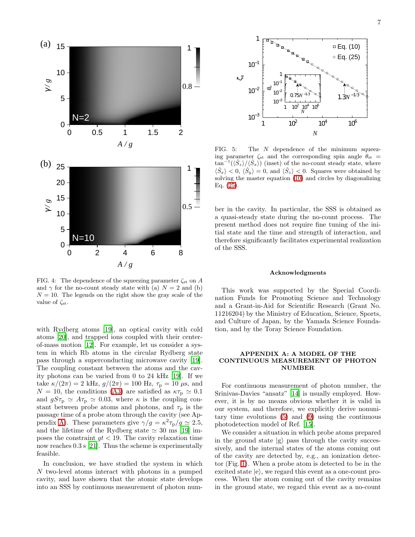

<span id="page-6-1"></span>FIG. 4: The dependence of the squeezing parameter  $\zeta_{st}$  on A and  $\gamma$  for the no-count steady state with (a)  $N = 2$  and (b)  $N = 10$ . The legends on the right show the gray scale of the value of  $\zeta_{\rm st}$ .

with Rydberg atoms [\[19\]](#page-8-19), an optical cavity with cold atoms [\[20\]](#page-8-20), and trapped ions coupled with their centerof-mass motion [\[12\]](#page-8-11). For example, let us consider a system in which Rb atoms in the circular Rydberg state pass through a superconducting microwave cavity [\[19\]](#page-8-19). The coupling constant between the atoms and the cavity photons can be varied from 0 to 24 kHz [\[19](#page-8-19)]. If we take  $\kappa/(2\pi) = 2$  kHz,  $g/(2\pi) = 100$  Hz,  $\tau_{\rm p} = 10 \,\mu$ s, and  $N = 10$ , the conditions [\(A3\)](#page-7-2) are satisfied as  $\kappa \tau_{\rm p} \simeq 0.1$ and  $gS\tau_{\rm p} \simeq A\tau_{\rm p} \simeq 0.03$ , where  $\kappa$  is the coupling constant between probe atoms and photons, and  $\tau_{\rm p}$  is the passage time of a probe atom through the cavity (see Ap-pendix [A\)](#page-6-0). These parameters give  $\gamma/g = \kappa^2 \tau_{\rm p} / g \simeq 2.5$ , and the lifetime of the Rydberg state  $\simeq 30$  ms [\[19](#page-8-19)] imposes the constraint  $qt < 19$ . The cavity relaxation time now reaches 0.3 s [\[21](#page-8-21)]. Thus the scheme is experimentally feasible.

In conclusion, we have studied the system in which N two-level atoms interact with photons in a pumped cavity, and have shown that the atomic state develops into an SSS by continuous measurement of photon num-



<span id="page-6-2"></span>FIG. 5: The  $N$  dependence of the minimum squeezing parameter  $\zeta_{st}$  and the corresponding spin angle  $\theta_{st}$  =  $\tan^{-1}(\langle \hat{S}_z \rangle / \langle \hat{S}_x \rangle)$  (inset) of the no-count steady state, where  $\langle \hat{S}_x \rangle < 0, \langle \hat{S}_y \rangle = 0$ , and  $\langle \hat{S}_z \rangle < 0$ . Squares were obtained by solving the master equation [\(10\)](#page-2-1) and circles by diagonalizing Eq. [\(25\)](#page-4-3).

ber in the cavity. In particular, the SSS is obtained as a quasi-steady state during the no-count process. The present method does not require fine tuning of the initial state and the time and strength of interaction, and therefore significantly facilitates experimental realization of the SSS.

#### Acknowledgments

This work was supported by the Special Coordination Funds for Promoting Science and Technology and a Grant-in-Aid for Scientific Research (Grant No. 11216204) by the Ministry of Education, Science, Sports, and Culture of Japan, by the Yamada Science Foundation, and by the Toray Science Foundation.

# <span id="page-6-0"></span>APPENDIX A: A MODEL OF THE CONTINUOUS MEASUREMENT OF PHOTON NUMBER

For continuous measurement of photon number, the Srinivas-Davies "ansatz" [\[14\]](#page-8-13) is usually employed. However, it is by no means obvious whether it is valid in our system, and therefore, we explicitly derive nonunitary time evolutions [\(5\)](#page-1-3) and [\(9\)](#page-2-0) using the continuous photodetection model of Ref. [\[15\]](#page-8-14).

We consider a situation in which probe atoms prepared in the ground state  $|g\rangle$  pass through the cavity successively, and the internal states of the atoms coming out of the cavity are detected by, e.g., an ionization detector (Fig. [1\)](#page-1-0). When a probe atom is detected to be in the excited state  $|e\rangle$ , we regard this event as a one-count process. When the atom coming out of the cavity remains in the ground state, we regard this event as a no-count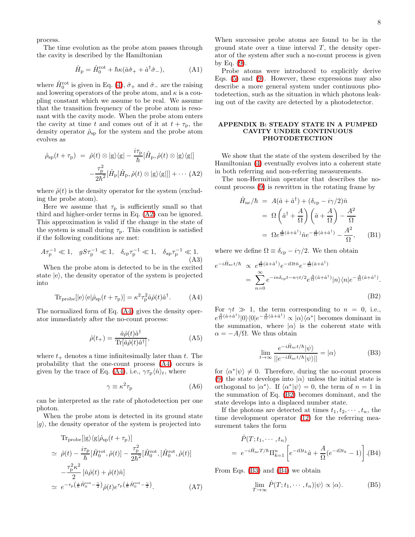process.

The time evolution as the probe atom passes through the cavity is described by the Hamiltonian

$$
\hat{H}_{\mathbf{p}} = \hat{H}_0^{\text{rot}} + \hbar \kappa (\hat{a}\hat{\sigma}_+ + \hat{a}^\dagger \hat{\sigma}_-), \tag{A1}
$$

where  $\hat{H}_0^{\text{rot}}$  is given in Eq. [\(4\)](#page-1-2),  $\hat{\sigma}_+$  and  $\hat{\sigma}_-$  are the raising and lowering operators of the probe atom, and  $\kappa$  is a coupling constant which we assume to be real. We assume that the transition frequency of the probe atom is resonant with the cavity mode. When the probe atom enters the cavity at time t and comes out of it at  $t + \tau_{\rm p}$ , the density operator  $\hat{\rho}_{\mathrm{sp}}$  for the system and the probe atom evolves as

<span id="page-7-3"></span>
$$
\hat{\rho}_{sp}(t+\tau_{p}) = \hat{\rho}(t) \otimes |g\rangle\langle g| - \frac{i\tau_{p}}{\hbar} [\hat{H}_{p}, \hat{\rho}(t) \otimes |g\rangle\langle g|]
$$

$$
-\frac{\tau_{p}^{2}}{2\hbar^{2}} [\hat{H}_{p}[\hat{H}_{p}, \hat{\rho}(t) \otimes |g\rangle\langle g|]] + \cdots (A2)
$$

where  $\hat{\rho}(t)$  is the density operator for the system (excluding the probe atom).

Here we assume that  $\tau_{\rm p}$  is sufficiently small so that third and higher-order terms in Eq. [\(A2\)](#page-7-3) can be ignored. This approximation is valid if the change in the state of the system is small during  $\tau_{p}$ . This condition is satisfied if the following conditions are met:

<span id="page-7-2"></span>
$$
A\tau_{\rm p}^{-1} \ll 1, \quad gS\tau_{\rm p}^{-1} \ll 1, \quad \delta_{\rm cp} \tau_{\rm p}^{-1} \ll 1, \quad \delta_{\rm ap} \tau_{\rm p}^{-1} \ll 1. \tag{A3}
$$

<span id="page-7-4"></span>When the probe atom is detected to be in the excited state  $|e\rangle$ , the density operator of the system is projected into

$$
\text{Tr}_{\text{probe}}[|e\rangle\langle e|\hat{\rho}_{\text{sp}}(t+\tau_{\text{p}})] = \kappa^2 \tau_{\text{p}}^2 \hat{a}\hat{\rho}(t)\hat{a}^{\dagger}.\tag{A4}
$$

The normalized form of Eq. [\(A4\)](#page-7-4) gives the density operator immediately after the no-count process:

$$
\hat{\rho}(t_{+}) = \frac{\hat{a}\hat{\rho}(t)\hat{a}^{\dagger}}{\text{Tr}[\hat{a}\hat{\rho}(t)\hat{a}^{\dagger}]},\tag{A5}
$$

where  $t_{+}$  denotes a time infinitesimally later than t. The probability that the one-count process [\(A4\)](#page-7-4) occurs is given by the trace of Eq. [\(A4\)](#page-7-4), i.e.,  $\gamma \tau_p \langle \hat{n} \rangle_t$ , where

<span id="page-7-0"></span>
$$
\gamma \equiv \kappa^2 \tau_{\rm p} \tag{A6}
$$

can be interpreted as the rate of photodetection per one photon.

When the probe atom is detected in its ground state  $|g\rangle$ , the density operator of the system is projected into

$$
\begin{split}\n\text{Tr}_{\text{probe}}[|g\rangle\langle g|\hat{\rho}_{\text{sp}}(t+\tau_{\text{p}})] \\
&\simeq \hat{\rho}(t) - \frac{i\tau_{\text{p}}}{\hbar} [\hat{H}_{0}^{\text{rot}}, \hat{\rho}(t)] - \frac{\tau_{\text{p}}^{2}}{2\hbar^{2}} [\hat{H}_{0}^{\text{rot}}, [\hat{H}_{0}^{\text{rot}}, \hat{\rho}(t)] \\
&\quad - \frac{\tau_{\text{p}}^{2}\kappa^{2}}{2} [\hat{n}\hat{\rho}(t) + \hat{\rho}(t)\hat{n}] \\
&\simeq e^{-\tau_{\text{p}}} (\frac{i}{\hbar} \hat{H}_{0}^{\text{rot}} - \frac{\gamma}{2}) \hat{\rho}(t) e^{\tau_{\text{p}}} (\frac{i}{\hbar} \hat{H}_{0}^{\text{rot}} - \frac{\gamma}{2})}.\n\end{split} \tag{A7}
$$

When successive probe atoms are found to be in the ground state over a time interval  $T$ , the density operator of the system after such a no-count process is given by Eq. [\(9\)](#page-2-0).

Probe atoms were introduced to explicitly derive Eqs. [\(5\)](#page-1-3) and [\(9\)](#page-2-0). However, these expressions may also describe a more general system under continuous photodetection, such as the situation in which photons leaking out of the cavity are detected by a photodetector.

# <span id="page-7-1"></span>APPENDIX B: STEADY STATE IN A PUMPED CAVITY UNDER CONTINUOUS PHOTODETECTION

We show that the state of the system described by the Hamiltonian [\(4\)](#page-1-2) eventually evolves into a coherent state in both referring and non-referring measurements.

The non-Hermitian operator that describes the nocount process [\(9\)](#page-2-0) is rewritten in the rotating frame by

$$
\hat{H}_{\text{nc}}/\hbar = A(\hat{a} + \hat{a}^{\dagger}) + (\delta_{\text{cp}} - i\gamma/2)\hat{n} \n= \Omega\left(\hat{a}^{\dagger} + \frac{A}{\Omega}\right)\left(\hat{a} + \frac{A}{\Omega}\right) - \frac{A^2}{\Omega} \n= \Omega e^{\frac{A}{\Omega}(\hat{a} + \hat{a}^{\dagger})}\hat{n}e^{-\frac{A}{\Omega}(\hat{a} + \hat{a}^{\dagger})} - \frac{A^2}{\Omega}, \quad \text{(B1)}
$$

where we define  $\Omega \equiv \delta_{\rm cp} - i\gamma/2$ . We then obtain

<span id="page-7-5"></span>
$$
e^{-i\hat{H}_{\text{nc}}t/\hbar} \propto e^{\frac{A}{\Omega}(\hat{a}+\hat{a}^{\dagger})}e^{-i\Omega t\hat{n}}e^{-\frac{A}{\Omega}(\hat{a}+\hat{a}^{\dagger})}
$$
  
= 
$$
\sum_{n=0}^{\infty} e^{-in\delta_{\text{cp}}t-n\gamma t/2}e^{\frac{A}{\Omega}(\hat{a}+\hat{a}^{\dagger})}|n\rangle\langle n|e^{-\frac{A}{\Omega}(\hat{a}+\hat{a}^{\dagger})}.
$$
  
(B2)

For  $\gamma t \gg 1$ , the term corresponding to  $n = 0$ , i.e.,  $e^{\frac{A}{\Omega}(\hat{a}+\hat{a}^{\dagger})} |0\rangle\langle 0|e^{-\frac{A}{\Omega}(\hat{a}+\hat{a}^{\dagger})} \propto |\alpha\rangle\langle \alpha^*|$  becomes dominant in the summation, where  $|\alpha\rangle$  is the coherent state with  $\alpha = -A/\Omega$ . We thus obtain

<span id="page-7-6"></span>
$$
\lim_{t \to \infty} \frac{e^{-i\hat{H}_{\text{nc}}t/\hbar}|\psi\rangle}{||e^{-i\hat{H}_{\text{nc}}t/\hbar}|\psi\rangle||} = |\alpha\rangle \tag{B3}
$$

for  $\langle \alpha^* | \psi \rangle \neq 0$ . Therefore, during the no-count process [\(9\)](#page-2-0) the state develops into  $|\alpha\rangle$  unless the initial state is orthogonal to  $|\alpha^*\rangle$ . If  $\langle \alpha^* | \psi \rangle = 0$ , the term of  $n = 1$  in the summation of Eq. [\(B2\)](#page-7-5) becomes dominant, and the state develops into a displaced number state.

<span id="page-7-7"></span>If the photons are detected at times  $t_1, t_2, \dots, t_n$ , the time development operator [\(12\)](#page-2-7) for the referring measurement takes the form

$$
\hat{P}(T; t_1, \cdots, t_n) = e^{-i\hat{H}_{\text{nc}}T/\hbar} \Pi_{k=1}^n \left[ e^{-i\Omega t_k} \hat{a} + \frac{A}{\Omega} (e^{-i\Omega t_k} - 1) \right].
$$
 (B4)

From Eqs. [\(B3\)](#page-7-6) and [\(B4\)](#page-7-7) we obtain

<span id="page-7-8"></span>
$$
\lim_{T \to \infty} \hat{P}(T; t_1, \cdots, t_n) |\psi\rangle \propto |\alpha\rangle.
$$
 (B5)